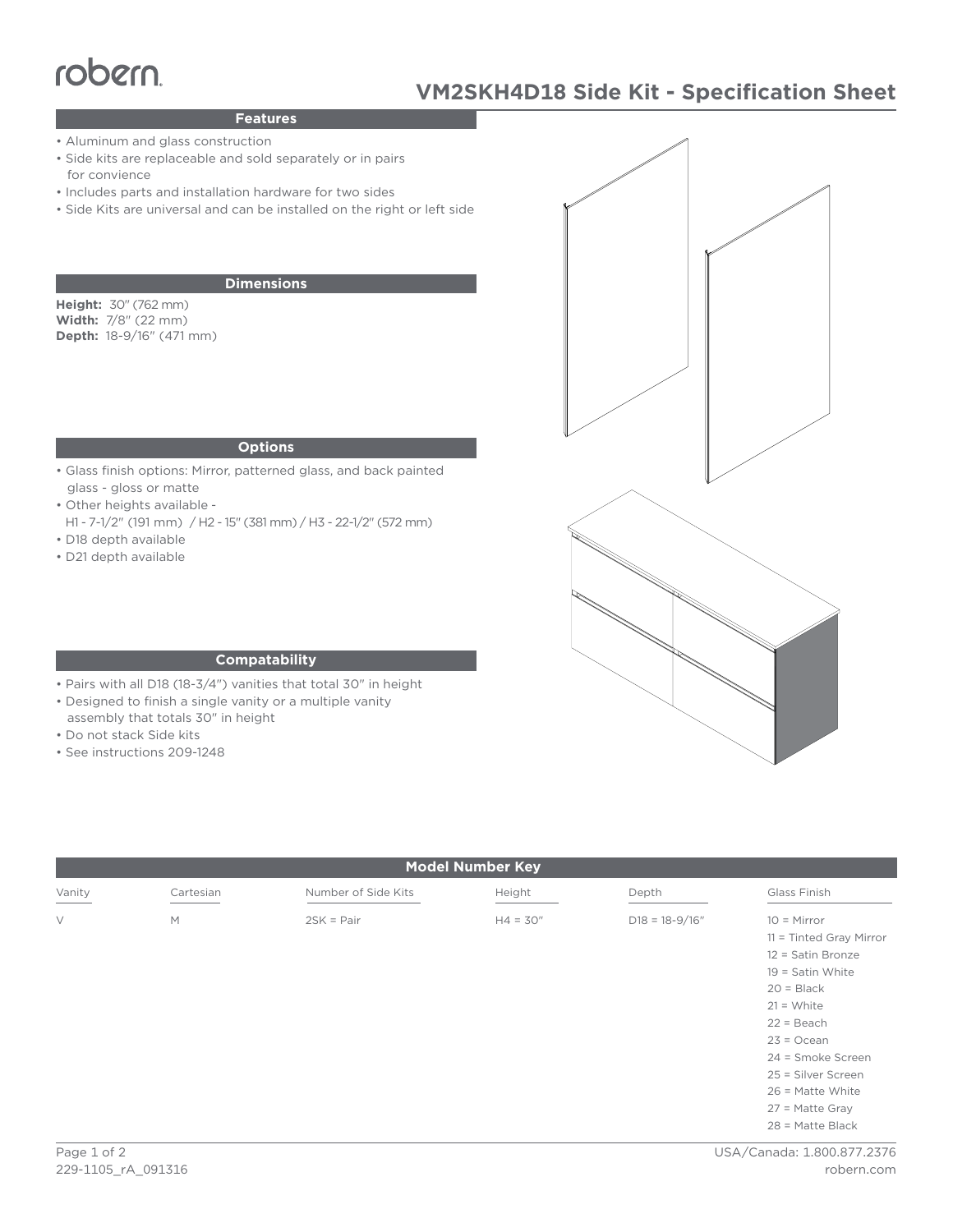# robern.

## **Features**

- Aluminum and glass construction
- Side kits are replaceable and sold separately or in pairs for convience
- Includes parts and installation hardware for two sides
- Side Kits are universal and can be installed on the right or left side

### **Dimensions**

**Height:** 30" (762 mm) **Width:** 7/8" (22 mm) **Depth:** 18-9/16" (471 mm)

#### **Options**

- Glass finish options: Mirror, patterned glass, and back painted glass - gloss or matte
- Other heights available -
- H1 7-1/2" (191 mm) / H2 15" (381 mm) / H3 22-1/2" (572 mm) • D18 depth available
- D21 depth available



#### **Compatability**

- Pairs with all D18 (18-3/4") vanities that total 30" in height
- Designed to finish a single vanity or a multiple vanity
- assembly that totals 30" in height
- Do not stack Side kits
- See instructions 209-1248

| <b>Model Number Key</b> |           |                     |            |                    |                                                                                                                                                                                                                        |
|-------------------------|-----------|---------------------|------------|--------------------|------------------------------------------------------------------------------------------------------------------------------------------------------------------------------------------------------------------------|
| Vanity                  | Cartesian | Number of Side Kits | Height     | Depth              | Glass Finish                                                                                                                                                                                                           |
| $\vee$                  | M         | $2SK = Pair$        | $H4 = 30"$ | $D18 = 18 - 9/16"$ | $10 =$ Mirror<br>$11 =$ Tinted Gray Mirror<br>12 = Satin Bronze<br>$19 =$ Satin White<br>$20 = Black$<br>$21 = White$<br>$22 = Beach$<br>$23 = Ocean$<br>24 = Smoke Screen<br>25 = Silver Screen<br>$26$ = Matte White |
|                         |           |                     |            |                    | $27$ = Matte Gray<br>$28$ = Matte Black                                                                                                                                                                                |